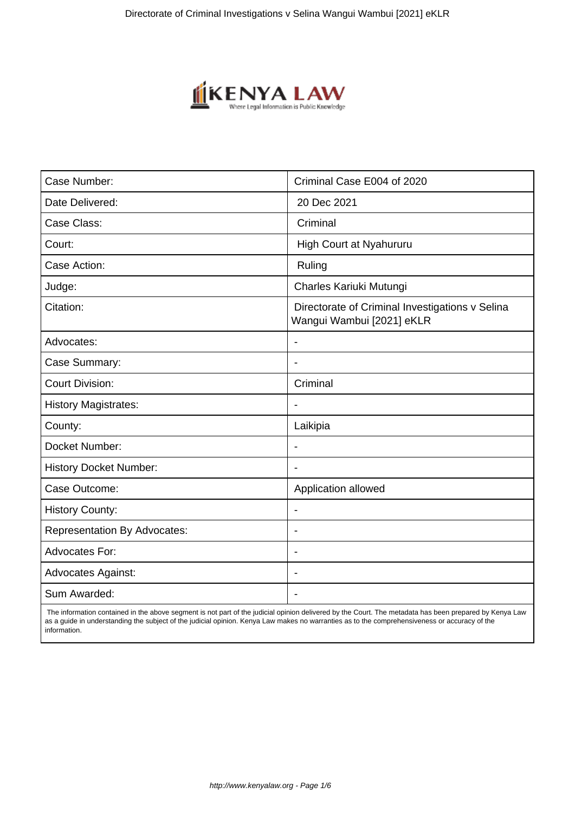

| Case Number:                        | Criminal Case E004 of 2020                                                   |
|-------------------------------------|------------------------------------------------------------------------------|
| Date Delivered:                     | 20 Dec 2021                                                                  |
| Case Class:                         | Criminal                                                                     |
| Court:                              | High Court at Nyahururu                                                      |
| Case Action:                        | Ruling                                                                       |
| Judge:                              | Charles Kariuki Mutungi                                                      |
| Citation:                           | Directorate of Criminal Investigations v Selina<br>Wangui Wambui [2021] eKLR |
| Advocates:                          |                                                                              |
| Case Summary:                       |                                                                              |
| <b>Court Division:</b>              | Criminal                                                                     |
| <b>History Magistrates:</b>         | $\blacksquare$                                                               |
| County:                             | Laikipia                                                                     |
| Docket Number:                      |                                                                              |
| <b>History Docket Number:</b>       |                                                                              |
| Case Outcome:                       | Application allowed                                                          |
| <b>History County:</b>              | $\overline{\phantom{a}}$                                                     |
| <b>Representation By Advocates:</b> | $\blacksquare$                                                               |
| Advocates For:                      | $\overline{\phantom{0}}$                                                     |
| <b>Advocates Against:</b>           |                                                                              |
| Sum Awarded:                        |                                                                              |

 The information contained in the above segment is not part of the judicial opinion delivered by the Court. The metadata has been prepared by Kenya Law as a guide in understanding the subject of the judicial opinion. Kenya Law makes no warranties as to the comprehensiveness or accuracy of the information.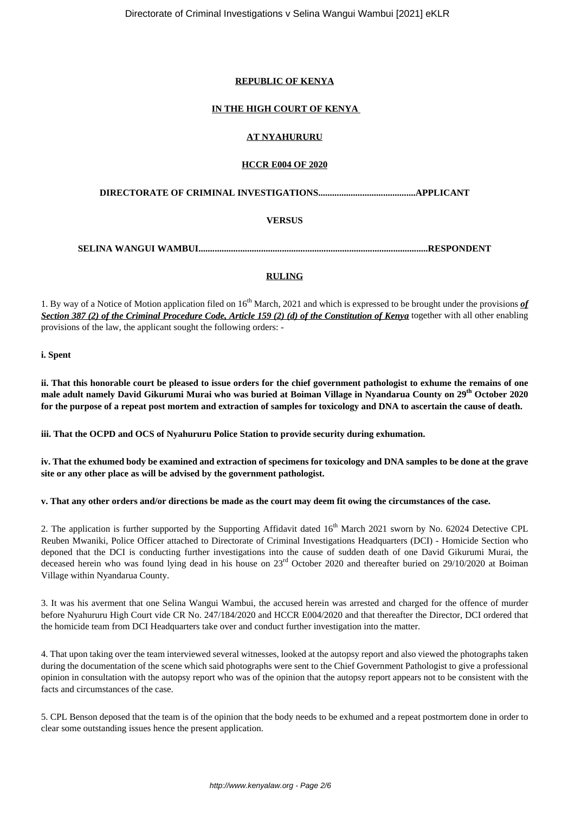# **REPUBLIC OF KENYA**

## **IN THE HIGH COURT OF KENYA**

## **AT NYAHURURU**

## **HCCR E004 OF 2020**

## **DIRECTORATE OF CRIMINAL INVESTIGATIONS..........................................APPLICANT**

## **VERSUS**

**SELINA WANGUI WAMBUI...................................................................................................RESPONDENT**

## **RULING**

1. By way of a Notice of Motion application filed on 16th March, 2021 and which is expressed to be brought under the provisions *of Section 387 (2) of the Criminal Procedure Code, Article 159 (2) (d) of the Constitution of Kenya* together with all other enabling provisions of the law, the applicant sought the following orders: -

**i. Spent**

**ii. That this honorable court be pleased to issue orders for the chief government pathologist to exhume the remains of one male adult namely David Gikurumi Murai who was buried at Boiman Village in Nyandarua County on 29th October 2020 for the purpose of a repeat post mortem and extraction of samples for toxicology and DNA to ascertain the cause of death.**

**iii. That the OCPD and OCS of Nyahururu Police Station to provide security during exhumation.**

**iv. That the exhumed body be examined and extraction of specimens for toxicology and DNA samples to be done at the grave site or any other place as will be advised by the government pathologist.**

## **v. That any other orders and/or directions be made as the court may deem fit owing the circumstances of the case.**

2. The application is further supported by the Supporting Affidavit dated 16<sup>th</sup> March 2021 sworn by No. 62024 Detective CPL Reuben Mwaniki, Police Officer attached to Directorate of Criminal Investigations Headquarters (DCI) - Homicide Section who deponed that the DCI is conducting further investigations into the cause of sudden death of one David Gikurumi Murai, the deceased herein who was found lying dead in his house on  $23<sup>rd</sup>$  October 2020 and thereafter buried on  $29/10/2020$  at Boiman Village within Nyandarua County.

3. It was his averment that one Selina Wangui Wambui, the accused herein was arrested and charged for the offence of murder before Nyahururu High Court vide CR No. 247/184/2020 and HCCR E004/2020 and that thereafter the Director, DCI ordered that the homicide team from DCI Headquarters take over and conduct further investigation into the matter.

4. That upon taking over the team interviewed several witnesses, looked at the autopsy report and also viewed the photographs taken during the documentation of the scene which said photographs were sent to the Chief Government Pathologist to give a professional opinion in consultation with the autopsy report who was of the opinion that the autopsy report appears not to be consistent with the facts and circumstances of the case.

5. CPL Benson deposed that the team is of the opinion that the body needs to be exhumed and a repeat postmortem done in order to clear some outstanding issues hence the present application.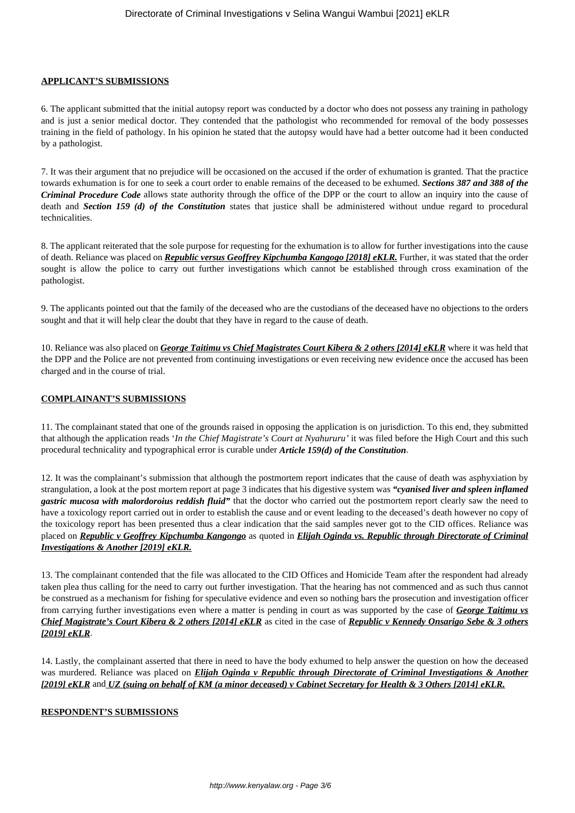### **APPLICANT'S SUBMISSIONS**

6. The applicant submitted that the initial autopsy report was conducted by a doctor who does not possess any training in pathology and is just a senior medical doctor. They contended that the pathologist who recommended for removal of the body possesses training in the field of pathology. In his opinion he stated that the autopsy would have had a better outcome had it been conducted by a pathologist.

7. It was their argument that no prejudice will be occasioned on the accused if the order of exhumation is granted. That the practice towards exhumation is for one to seek a court order to enable remains of the deceased to be exhumed. *Sections 387 and 388 of the Criminal Procedure Code* allows state authority through the office of the DPP or the court to allow an inquiry into the cause of death and *Section 159 (d) of the Constitution* states that justice shall be administered without undue regard to procedural technicalities.

8. The applicant reiterated that the sole purpose for requesting for the exhumation is to allow for further investigations into the cause of death. Reliance was placed on *Republic versus Geoffrey Kipchumba Kangogo [2018] eKLR.* Further, it was stated that the order sought is allow the police to carry out further investigations which cannot be established through cross examination of the pathologist.

9. The applicants pointed out that the family of the deceased who are the custodians of the deceased have no objections to the orders sought and that it will help clear the doubt that they have in regard to the cause of death.

10. Reliance was also placed on *George Taitimu vs Chief Magistrates Court Kibera & 2 others [2014] eKLR* where it was held that the DPP and the Police are not prevented from continuing investigations or even receiving new evidence once the accused has been charged and in the course of trial.

## **COMPLAINANT'S SUBMISSIONS**

11. The complainant stated that one of the grounds raised in opposing the application is on jurisdiction. To this end, they submitted that although the application reads '*In the Chief Magistrate's Court at Nyahururu'* it was filed before the High Court and this such procedural technicality and typographical error is curable under *Article 159(d) of the Constitution*.

12. It was the complainant's submission that although the postmortem report indicates that the cause of death was asphyxiation by strangulation, a look at the post mortem report at page 3 indicates that his digestive system was *"cyanised liver and spleen inflamed gastric mucosa with malordoroius reddish fluid"* that the doctor who carried out the postmortem report clearly saw the need to have a toxicology report carried out in order to establish the cause and or event leading to the deceased's death however no copy of the toxicology report has been presented thus a clear indication that the said samples never got to the CID offices. Reliance was placed on *Republic v Geoffrey Kipchumba Kangongo* as quoted in *Elijah Oginda vs. Republic through Directorate of Criminal Investigations & Another [2019] eKLR.*

13. The complainant contended that the file was allocated to the CID Offices and Homicide Team after the respondent had already taken plea thus calling for the need to carry out further investigation. That the hearing has not commenced and as such thus cannot be construed as a mechanism for fishing for speculative evidence and even so nothing bars the prosecution and investigation officer from carrying further investigations even where a matter is pending in court as was supported by the case of *George Taitimu vs Chief Magistrate's Court Kibera & 2 others [2014] eKLR* as cited in the case of *Republic v Kennedy Onsarigo Sebe & 3 others [2019] eKLR*.

14. Lastly, the complainant asserted that there in need to have the body exhumed to help answer the question on how the deceased was murdered. Reliance was placed on *Elijah Oginda v Republic through Directorate of Criminal Investigations & Another [2019] eKLR* and *UZ (suing on behalf of KM (a minor deceased) v Cabinet Secretary for Health & 3 Others [2014] eKLR.*

#### **RESPONDENT'S SUBMISSIONS**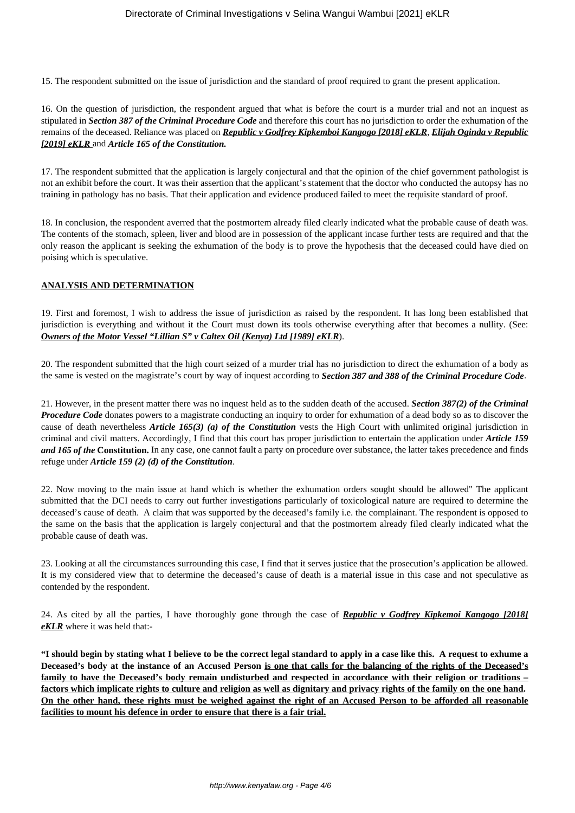15. The respondent submitted on the issue of jurisdiction and the standard of proof required to grant the present application.

16. On the question of jurisdiction, the respondent argued that what is before the court is a murder trial and not an inquest as stipulated in *Section 387 of the Criminal Procedure Code* and therefore this court has no jurisdiction to order the exhumation of the remains of the deceased. Reliance was placed on *Republic v Godfrey Kipkemboi Kangogo [2018] eKLR*, *Elijah Oginda v Republic [2019] eKLR* and *Article 165 of the Constitution.*

17. The respondent submitted that the application is largely conjectural and that the opinion of the chief government pathologist is not an exhibit before the court. It was their assertion that the applicant's statement that the doctor who conducted the autopsy has no training in pathology has no basis. That their application and evidence produced failed to meet the requisite standard of proof.

18. In conclusion, the respondent averred that the postmortem already filed clearly indicated what the probable cause of death was. The contents of the stomach, spleen, liver and blood are in possession of the applicant incase further tests are required and that the only reason the applicant is seeking the exhumation of the body is to prove the hypothesis that the deceased could have died on poising which is speculative.

## **ANALYSIS AND DETERMINATION**

19. First and foremost, I wish to address the issue of jurisdiction as raised by the respondent. It has long been established that jurisdiction is everything and without it the Court must down its tools otherwise everything after that becomes a nullity. (See: *Owners of the Motor Vessel "Lillian S" v Caltex Oil (Kenya) Ltd [1989] eKLR*).

20. The respondent submitted that the high court seized of a murder trial has no jurisdiction to direct the exhumation of a body as the same is vested on the magistrate's court by way of inquest according to *Section 387 and 388 of the Criminal Procedure Code*.

21. However, in the present matter there was no inquest held as to the sudden death of the accused. *Section 387(2) of the Criminal Procedure Code* donates powers to a magistrate conducting an inquiry to order for exhumation of a dead body so as to discover the cause of death nevertheless *Article 165(3) (a) of the Constitution* vests the High Court with unlimited original jurisdiction in criminal and civil matters. Accordingly, I find that this court has proper jurisdiction to entertain the application under *Article 159 and 165 of the* **Constitution.** In any case, one cannot fault a party on procedure over substance, the latter takes precedence and finds refuge under *Article 159 (2) (d) of the Constitution*.

22. Now moving to the main issue at hand which is whether the exhumation orders sought should be allowed" The applicant submitted that the DCI needs to carry out further investigations particularly of toxicological nature are required to determine the deceased's cause of death. A claim that was supported by the deceased's family i.e. the complainant. The respondent is opposed to the same on the basis that the application is largely conjectural and that the postmortem already filed clearly indicated what the probable cause of death was.

23. Looking at all the circumstances surrounding this case, I find that it serves justice that the prosecution's application be allowed. It is my considered view that to determine the deceased's cause of death is a material issue in this case and not speculative as contended by the respondent.

24. As cited by all the parties, I have thoroughly gone through the case of *Republic v Godfrey Kipkemoi Kangogo [2018] eKLR* where it was held that:-

**"I should begin by stating what I believe to be the correct legal standard to apply in a case like this. A request to exhume a Deceased's body at the instance of an Accused Person is one that calls for the balancing of the rights of the Deceased's family to have the Deceased's body remain undisturbed and respected in accordance with their religion or traditions – factors which implicate rights to culture and religion as well as dignitary and privacy rights of the family on the one hand. On the other hand, these rights must be weighed against the right of an Accused Person to be afforded all reasonable facilities to mount his defence in order to ensure that there is a fair trial.**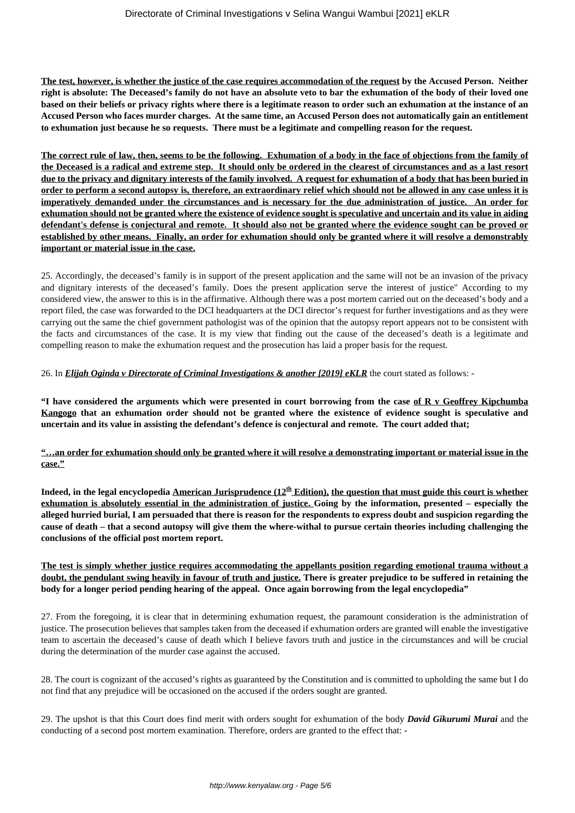**The test, however, is whether the justice of the case requires accommodation of the request by the Accused Person. Neither right is absolute: The Deceased's family do not have an absolute veto to bar the exhumation of the body of their loved one based on their beliefs or privacy rights where there is a legitimate reason to order such an exhumation at the instance of an Accused Person who faces murder charges. At the same time, an Accused Person does not automatically gain an entitlement to exhumation just because he so requests. There must be a legitimate and compelling reason for the request.**

**The correct rule of law, then, seems to be the following. Exhumation of a body in the face of objections from the family of the Deceased is a radical and extreme step. It should only be ordered in the clearest of circumstances and as a last resort due to the privacy and dignitary interests of the family involved. A request for exhumation of a body that has been buried in order to perform a second autopsy is, therefore, an extraordinary relief which should not be allowed in any case unless it is imperatively demanded under the circumstances and is necessary for the due administration of justice. An order for exhumation should not be granted where the existence of evidence sought is speculative and uncertain and its value in aiding defendant's defense is conjectural and remote. It should also not be granted where the evidence sought can be proved or established by other means. Finally, an order for exhumation should only be granted where it will resolve a demonstrably important or material issue in the case.**

25. Accordingly, the deceased's family is in support of the present application and the same will not be an invasion of the privacy and dignitary interests of the deceased's family. Does the present application serve the interest of justice" According to my considered view, the answer to this is in the affirmative. Although there was a post mortem carried out on the deceased's body and a report filed, the case was forwarded to the DCI headquarters at the DCI director's request for further investigations and as they were carrying out the same the chief government pathologist was of the opinion that the autopsy report appears not to be consistent with the facts and circumstances of the case. It is my view that finding out the cause of the deceased's death is a legitimate and compelling reason to make the exhumation request and the prosecution has laid a proper basis for the request.

26. In *Elijah Oginda v Directorate of Criminal Investigations & another [2019] eKLR* the court stated as follows: -

**"I have considered the arguments which were presented in court borrowing from the case of R v Geoffrey Kipchumba Kangogo that an exhumation order should not be granted where the existence of evidence sought is speculative and uncertain and its value in assisting the defendant's defence is conjectural and remote. The court added that;**

**"…an order for exhumation should only be granted where it will resolve a demonstrating important or material issue in the case."**

**Indeed, in the legal encyclopedia American Jurisprudence (12th Edition), the question that must guide this court is whether exhumation is absolutely essential in the administration of justice. Going by the information, presented – especially the alleged hurried burial, I am persuaded that there is reason for the respondents to express doubt and suspicion regarding the cause of death – that a second autopsy will give them the where-withal to pursue certain theories including challenging the conclusions of the official post mortem report.**

## **The test is simply whether justice requires accommodating the appellants position regarding emotional trauma without a doubt, the pendulant swing heavily in favour of truth and justice. There is greater prejudice to be suffered in retaining the body for a longer period pending hearing of the appeal. Once again borrowing from the legal encyclopedia"**

27. From the foregoing, it is clear that in determining exhumation request, the paramount consideration is the administration of justice. The prosecution believes that samples taken from the deceased if exhumation orders are granted will enable the investigative team to ascertain the deceased's cause of death which I believe favors truth and justice in the circumstances and will be crucial during the determination of the murder case against the accused.

28. The court is cognizant of the accused's rights as guaranteed by the Constitution and is committed to upholding the same but I do not find that any prejudice will be occasioned on the accused if the orders sought are granted.

29. The upshot is that this Court does find merit with orders sought for exhumation of the body *David Gikurumi Murai* and the conducting of a second post mortem examination. Therefore, orders are granted to the effect that: -